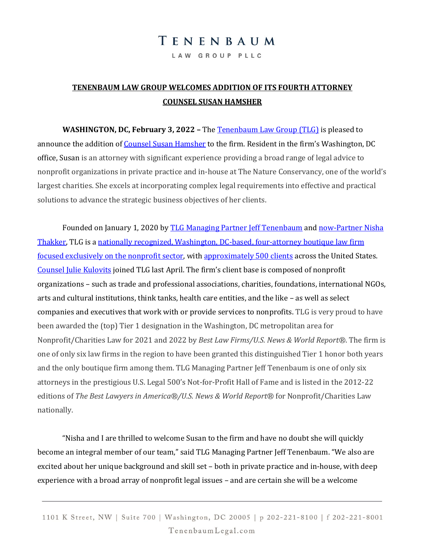## TENENBAUM

LAW GROUP PLLC

## **TENENBAUM LAW GROUP WELCOMES ADDITION OF ITS FOURTH ATTORNEY COUNSEL SUSAN HAMSHER**

**WASHINGTON, DC, February 3, 2022 –** The [Tenenbaum Law Group \(TLG\)](https://www.tenenbaumlegal.com/) is pleased to announce the addition o[f Counsel Susan Hamsher](https://www.tenenbaumlegal.com/attorneys/susan-c-hamsher/) to the firm. Resident in the firm's Washington, DC office, Susan is an attorney with significant experience providing a broad range of legal advice to nonprofit organizations in private practice and in-house at The Nature Conservancy, one of the world's largest charities. She excels at incorporating complex legal requirements into effective and practical solutions to advance the strategic business objectives of her clients.

Founded on January 1, 2020 by **TLG Managing Partner Jeff Tenenbaum** and now-Partner Nisha [Thakker,](https://www.tenenbaumlegal.com/attorneys/nisha-g-thakker/) TLG is [a nationally recognized, Washington, DC-based, four-attorney boutique law firm](https://www.tenenbaumlegal.com/firm-overview/)  [focused exclusively on the nonprofit sector,](https://www.tenenbaumlegal.com/firm-overview/) with [approximately 500 clients](https://www.tenenbaumlegal.com/representative-clients/) across the United States. [Counsel Julie Kulovits](https://www.tenenbaumlegal.com/attorneys/julie-b-kulovits/) joined TLG last April. The firm's client base is composed of nonprofit organizations – such as trade and professional associations, charities, foundations, international NGOs, arts and cultural institutions, think tanks, health care entities, and the like – as well as select companies and executives that work with or provide services to nonprofits. TLG is very proud to have been awarded the (top) Tier 1 designation in the Washington, DC metropolitan area for Nonprofit/Charities Law for 2021 and 2022 by *Best Law Firms/U.S. News & World Report®*. The firm is one of only six law firms in the region to have been granted this distinguished Tier 1 honor both years and the only boutique firm among them. TLG Managing Partner Jeff Tenenbaum is one of only six attorneys in the prestigious U.S. Legal 500's Not-for-Profit Hall of Fame and is listed in the 2012-22 editions of *The Best Lawyers in America®/U.S. News & World Report®* for Nonprofit/Charities Law nationally.

"Nisha and I are thrilled to welcome Susan to the firm and have no doubt she will quickly become an integral member of our team," said TLG Managing Partner Jeff Tenenbaum. "We also are excited about her unique background and skill set – both in private practice and in-house, with deep experience with a broad array of nonprofit legal issues – and are certain she will be a welcome